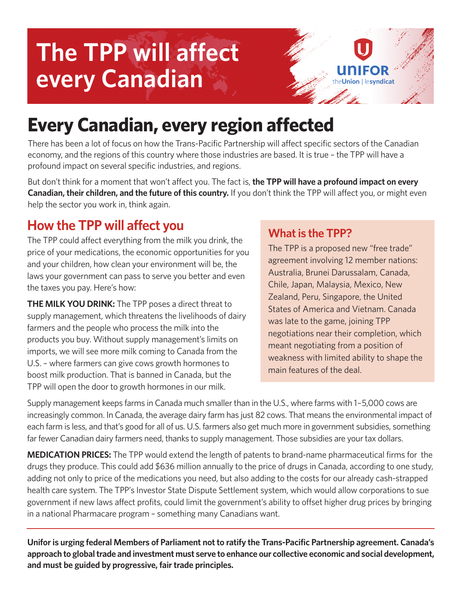# **The TPP will affect every Canadian**



# **Every Canadian, every region affected**

There has been a lot of focus on how the Trans-Pacific Partnership will affect specific sectors of the Canadian economy, and the regions of this country where those industries are based. It is true – the TPP will have a profound impact on several specific industries, and regions.

But don't think for a moment that won't affect you. The fact is, **the TPP will have a profound impact on every Canadian, their children, and the future of this country.** If you don't think the TPP will affect you, or might even help the sector you work in, think again.

## **How the TPP will affect you**

The TPP could affect everything from the milk you drink, the price of your medications, the economic opportunities for you and your children, how clean your environment will be, the laws your government can pass to serve you better and even the taxes you pay. Here's how:

**THE MILK YOU DRINK:** The TPP poses a direct threat to supply management, which threatens the livelihoods of dairy farmers and the people who process the milk into the products you buy. Without supply management's limits on imports, we will see more milk coming to Canada from the U.S. – where farmers can give cows growth hormones to boost milk production. That is banned in Canada, but the TPP will open the door to growth hormones in our milk.

#### **What is the TPP?**

The TPP is a proposed new "free trade" agreement involving 12 member nations: Australia, Brunei Darussalam, Canada, Chile, Japan, Malaysia, Mexico, New Zealand, Peru, Singapore, the United States of America and Vietnam. Canada was late to the game, joining TPP negotiations near their completion, which meant negotiating from a position of weakness with limited ability to shape the main features of the deal.

Supply management keeps farms in Canada much smaller than in the U.S., where farms with 1–5,000 cows are increasingly common. In Canada, the average dairy farm has just 82 cows. That means the environmental impact of each farm is less, and that's good for all of us. U.S. farmers also get much more in government subsidies, something far fewer Canadian dairy farmers need, thanks to supply management. Those subsidies are your tax dollars.

**MEDICATION PRICES:** The TPP would extend the length of patents to brand-name pharmaceutical firms for the drugs they produce. This could add \$636 million annually to the price of drugs in Canada, according to one study, adding not only to price of the medications you need, but also adding to the costs for our already cash-strapped health care system. The TPP's Investor State Dispute Settlement system, which would allow corporations to sue government if new laws affect profits, could limit the government's ability to offset higher drug prices by bringing in a national Pharmacare program – something many Canadians want.

**Unifor is urging federal Members of Parliament not to ratify the Trans-Pacific Partnership agreement. Canada's approach to global trade and investment must serve to enhance our collective economic and social development, and must be guided by progressive, fair trade principles.**